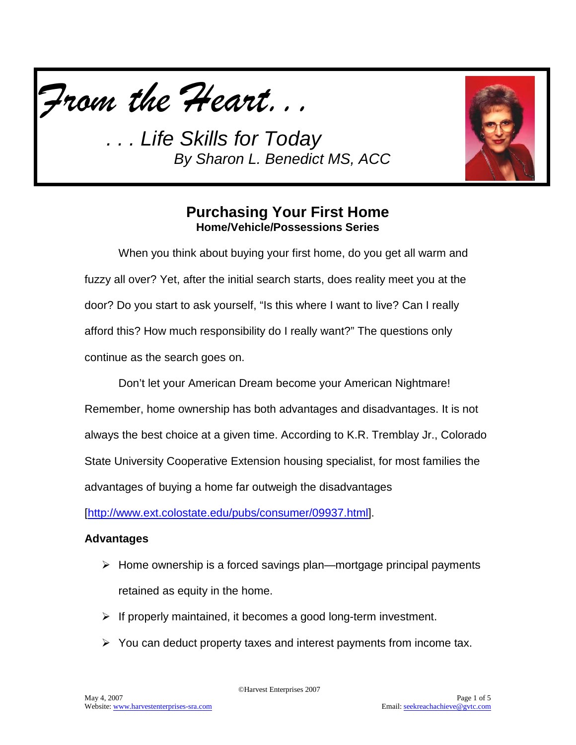

*. . . Life Skills for Today By Sharon L. Benedict MS, ACC*



# **Purchasing Your First Home Home/Vehicle/Possessions Series**

When you think about buying your first home, do you get all warm and fuzzy all over? Yet, after the initial search starts, does reality meet you at the door? Do you start to ask yourself, "Is this where I want to live? Can I really afford this? How much responsibility do I really want?" The questions only continue as the search goes on.

Don't let your American Dream become your American Nightmare! Remember, home ownership has both advantages and disadvantages. It is not always the best choice at a given time. According to K.R. Tremblay Jr., Colorado State University Cooperative Extension housing specialist, for most families the advantages of buying a home far outweigh the disadvantages

[\[http://www.ext.colostate.edu/pubs/consumer/09937.html\]](http://www.ext.colostate.edu/pubs/consumer/09937.html).

### **Advantages**

- $\triangleright$  Home ownership is a forced savings plan—mortgage principal payments retained as equity in the home.
- $\triangleright$  If properly maintained, it becomes a good long-term investment.
- $\triangleright$  You can deduct property taxes and interest payments from income tax.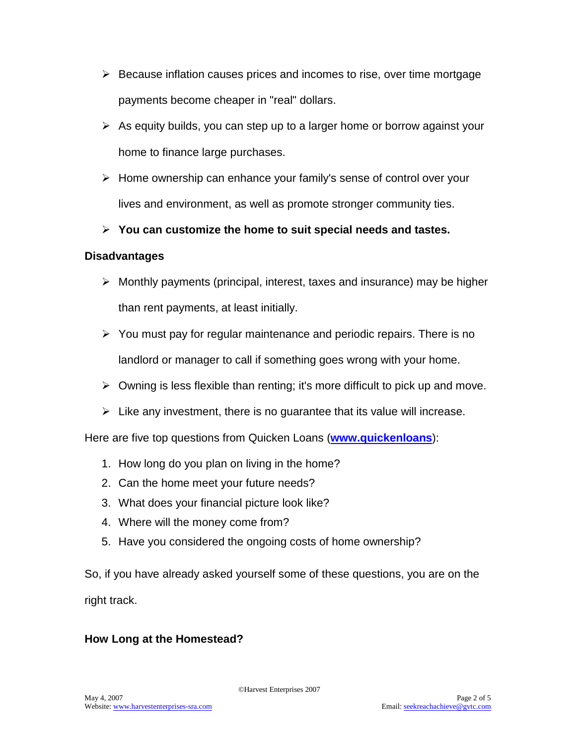- $\triangleright$  Because inflation causes prices and incomes to rise, over time mortgage payments become cheaper in "real" dollars.
- $\triangleright$  As equity builds, you can step up to a larger home or borrow against your home to finance large purchases.
- $\triangleright$  Home ownership can enhance your family's sense of control over your lives and environment, as well as promote stronger community ties.
- **You can customize the home to suit special needs and tastes.**

### **Disadvantages**

- $\triangleright$  Monthly payments (principal, interest, taxes and insurance) may be higher than rent payments, at least initially.
- $\triangleright$  You must pay for regular maintenance and periodic repairs. There is no landlord or manager to call if something goes wrong with your home.
- $\triangleright$  Owning is less flexible than renting; it's more difficult to pick up and move.
- $\triangleright$  Like any investment, there is no guarantee that its value will increase.

Here are five top questions from Quicken Loans (**[www.quickenloans](http://www.quickenloans/)**):

- 1. How long do you plan on living in the home?
- 2. Can the home meet your future needs?
- 3. What does your financial picture look like?
- 4. Where will the money come from?
- 5. Have you considered the ongoing costs of home ownership?

So, if you have already asked yourself some of these questions, you are on the right track.

### **How Long at the Homestead?**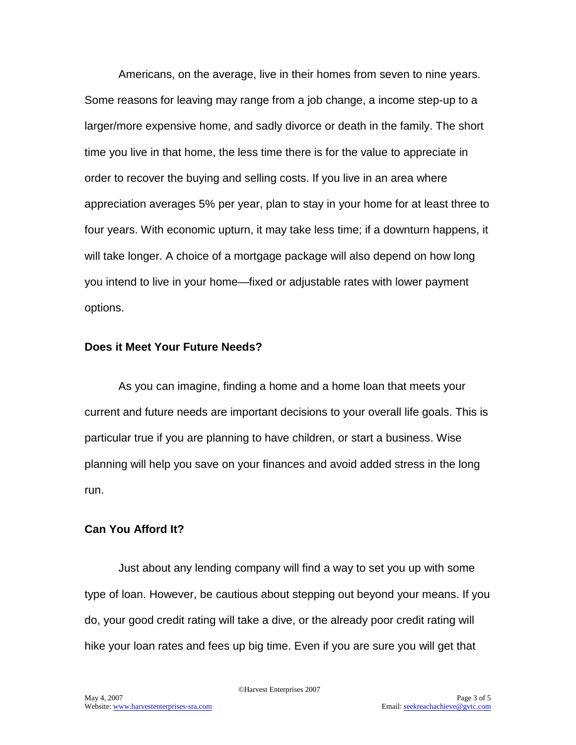Americans, on the average, live in their homes from seven to nine years. Some reasons for leaving may range from a job change, a income step-up to a larger/more expensive home, and sadly divorce or death in the family. The short time you live in that home, the less time there is for the value to appreciate in order to recover the buying and selling costs. If you live in an area where appreciation averages 5% per year, plan to stay in your home for at least three to four years. With economic upturn, it may take less time; if a downturn happens, it will take longer. A choice of a mortgage package will also depend on how long you intend to live in your home—fixed or adjustable rates with lower payment options.

#### **Does it Meet Your Future Needs?**

As you can imagine, finding a home and a home loan that meets your current and future needs are important decisions to your overall life goals. This is particular true if you are planning to have children, or start a business. Wise planning will help you save on your finances and avoid added stress in the long run.

#### **Can You Afford It?**

Just about any lending company will find a way to set you up with some type of loan. However, be cautious about stepping out beyond your means. If you do, your good credit rating will take a dive, or the already poor credit rating will hike your loan rates and fees up big time. Even if you are sure you will get that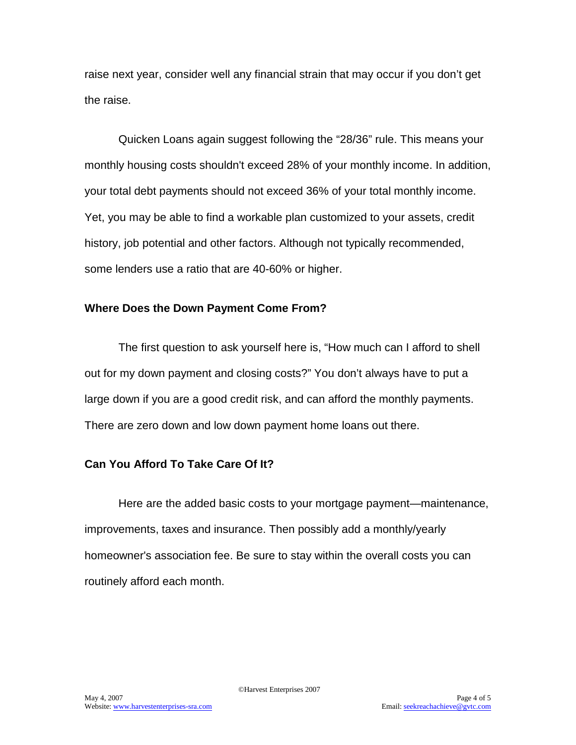raise next year, consider well any financial strain that may occur if you don't get the raise.

Quicken Loans again suggest following the "28/36" rule. This means your monthly housing costs shouldn't exceed 28% of your monthly income. In addition, your total debt payments should not exceed 36% of your total monthly income. Yet, you may be able to find a workable plan customized to your assets, credit history, job potential and other factors. Although not typically recommended, some lenders use a ratio that are 40-60% or higher.

#### **Where Does the Down Payment Come From?**

The first question to ask yourself here is, "How much can I afford to shell out for my down payment and closing costs?" You don't always have to put a large down if you are a good credit risk, and can afford the monthly payments. There are zero down and low down payment home loans out there.

### **Can You Afford To Take Care Of It?**

Here are the added basic costs to your mortgage payment—maintenance, improvements, taxes and insurance. Then possibly add a monthly/yearly homeowner's association fee. Be sure to stay within the overall costs you can routinely afford each month.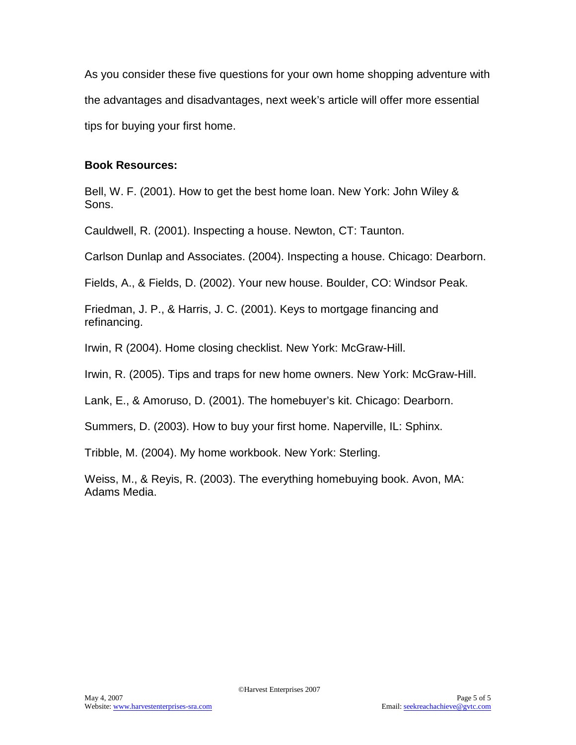As you consider these five questions for your own home shopping adventure with the advantages and disadvantages, next week's article will offer more essential tips for buying your first home.

#### **Book Resources:**

Bell, W. F. (2001). How to get the best home loan. New York: John Wiley & Sons.

Cauldwell, R. (2001). Inspecting a house. Newton, CT: Taunton.

Carlson Dunlap and Associates. (2004). Inspecting a house. Chicago: Dearborn.

Fields, A., & Fields, D. (2002). Your new house. Boulder, CO: Windsor Peak.

Friedman, J. P., & Harris, J. C. (2001). Keys to mortgage financing and refinancing.

Irwin, R (2004). Home closing checklist. New York: McGraw-Hill.

Irwin, R. (2005). Tips and traps for new home owners. New York: McGraw-Hill.

Lank, E., & Amoruso, D. (2001). The homebuyer's kit. Chicago: Dearborn.

Summers, D. (2003). How to buy your first home. Naperville, IL: Sphinx.

Tribble, M. (2004). My home workbook. New York: Sterling.

Weiss, M., & Reyis, R. (2003). The everything homebuying book. Avon, MA: Adams Media.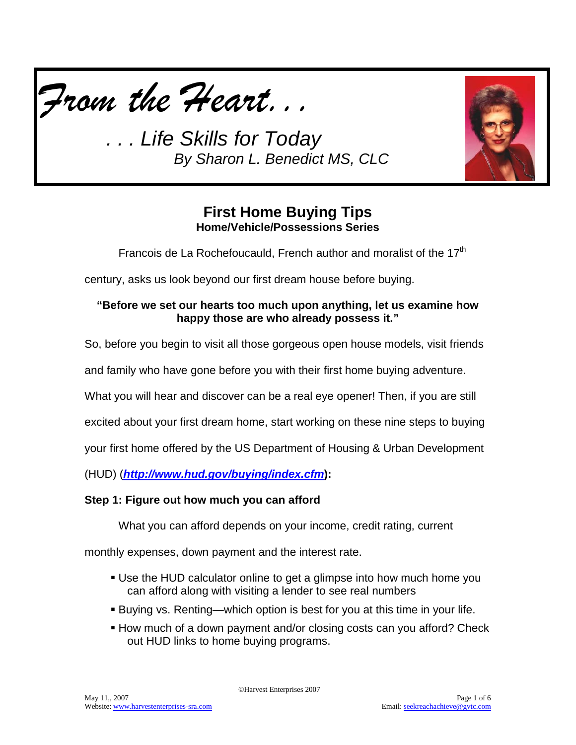

*. . . Life Skills for Today By Sharon L. Benedict MS, CLC*



# **First Home Buying Tips Home/Vehicle/Possessions Series**

Francois de La Rochefoucauld, French author and moralist of the 17<sup>th</sup>

century, asks us look beyond our first dream house before buying.

### **"Before we set our hearts too much upon anything, let us examine how happy those are who already possess it."**

So, before you begin to visit all those gorgeous open house models, visit friends

and family who have gone before you with their first home buying adventure.

What you will hear and discover can be a real eye opener! Then, if you are still

excited about your first dream home, start working on these nine steps to buying

your first home offered by the US Department of Housing & Urban Development

(HUD) (*<http://www.hud.gov/buying/index.cfm>***):**

### **Step 1: Figure out how much you can afford**

What you can afford depends on your income, credit rating, current

monthly expenses, down payment and the interest rate.

- Use the HUD calculator online to get a glimpse into how much home you can afford along with visiting a lender to see real numbers
- Buying vs. Renting—which option is best for you at this time in your life.
- How much of a down payment and/or closing costs can you afford? Check out HUD links to home buying programs.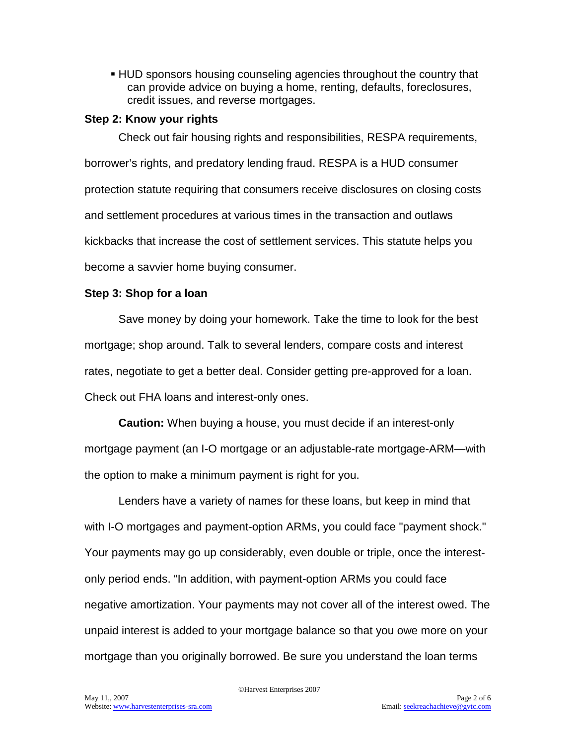HUD sponsors housing counseling agencies throughout the country that can provide advice on buying a home, renting, defaults, foreclosures, credit issues, and reverse mortgages.

#### **Step 2: Know your rights**

Check out fair housing rights and responsibilities, RESPA requirements, borrower's rights, and predatory lending fraud. RESPA is a HUD consumer protection statute requiring that consumers receive disclosures on closing costs and settlement procedures at various times in the transaction and outlaws kickbacks that increase the cost of settlement services. This statute helps you become a savvier home buying consumer.

### **Step 3: Shop for a loan**

Save money by doing your homework. Take the time to look for the best mortgage; shop around. Talk to several lenders, compare costs and interest rates, negotiate to get a better deal. Consider getting pre-approved for a loan. Check out FHA loans and interest-only ones.

**Caution:** When buying a house, you must decide if an interest-only mortgage payment (an I-O mortgage or an adjustable-rate mortgage-ARM—with the option to make a minimum payment is right for you.

Lenders have a variety of names for these loans, but keep in mind that with I-O mortgages and payment-option ARMs, you could face "payment shock." Your payments may go up considerably, even double or triple, once the interestonly period ends. "In addition, with payment-option ARMs you could face negative amortization. Your payments may not cover all of the interest owed. The unpaid interest is added to your mortgage balance so that you owe more on your mortgage than you originally borrowed. Be sure you understand the loan terms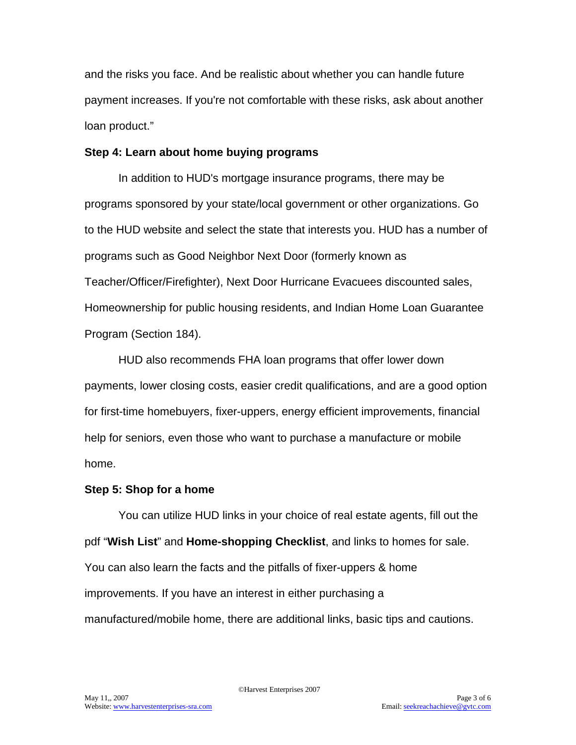and the risks you face. And be realistic about whether you can handle future payment increases. If you're not comfortable with these risks, ask about another loan product."

#### **Step 4: Learn about home buying programs**

In addition to HUD's mortgage insurance programs, there may be programs sponsored by your state/local government or other organizations. Go to the HUD website and select the state that interests you. HUD has a number of programs such as Good Neighbor Next Door (formerly known as Teacher/Officer/Firefighter), Next Door Hurricane Evacuees discounted sales, Homeownership for public housing residents, and Indian Home Loan Guarantee Program (Section 184).

HUD also recommends FHA loan programs that offer lower down payments, lower closing costs, easier credit qualifications, and are a good option for first-time homebuyers, fixer-uppers, energy efficient improvements, financial help for seniors, even those who want to purchase a manufacture or mobile home.

### **Step 5: Shop for a home**

You can utilize HUD links in your choice of real estate agents, fill out the pdf "**Wish List**" and **Home-shopping Checklist**, and links to homes for sale. You can also learn the facts and the pitfalls of fixer-uppers & home improvements. If you have an interest in either purchasing a manufactured/mobile home, there are additional links, basic tips and cautions.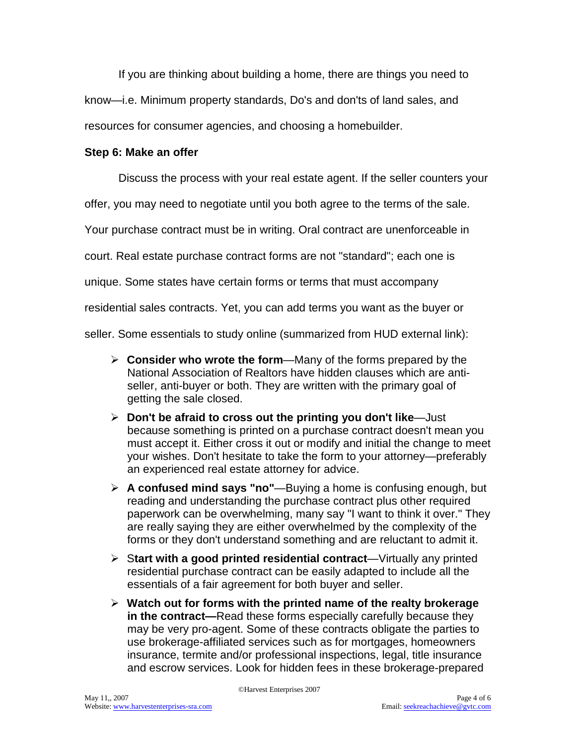If you are thinking about building a home, there are things you need to

know—i.e. Minimum property standards, Do's and don'ts of land sales, and

resources for consumer agencies, and choosing a homebuilder.

### **Step 6: Make an offer**

Discuss the process with your real estate agent. If the seller counters your

offer, you may need to negotiate until you both agree to the terms of the sale.

Your purchase contract must be in writing. Oral contract are unenforceable in

court. Real estate purchase contract forms are not "standard"; each one is

unique. Some states have certain forms or terms that must accompany

residential sales contracts. Yet, you can add terms you want as the buyer or

seller. Some essentials to study online (summarized from HUD external link):

- **Consider who wrote the form**—Many of the forms prepared by the National Association of Realtors have hidden clauses which are antiseller, anti-buyer or both. They are written with the primary goal of getting the sale closed.
- **Don't be afraid to cross out the printing you don't like**—Just because something is printed on a purchase contract doesn't mean you must accept it. Either cross it out or modify and initial the change to meet your wishes. Don't hesitate to take the form to your attorney—preferably an experienced real estate attorney for advice.
- **A confused mind says "no"**—Buying a home is confusing enough, but reading and understanding the purchase contract plus other required paperwork can be overwhelming, many say "I want to think it over." They are really saying they are either overwhelmed by the complexity of the forms or they don't understand something and are reluctant to admit it.
- S**tart with a good printed residential contract**—Virtually any printed residential purchase contract can be easily adapted to include all the essentials of a fair agreement for both buyer and seller.
- **Watch out for forms with the printed name of the realty brokerage in the contract—**Read these forms especially carefully because they may be very pro-agent. Some of these contracts obligate the parties to use brokerage-affiliated services such as for mortgages, homeowners insurance, termite and/or professional inspections, legal, title insurance and escrow services. Look for hidden fees in these brokerage-prepared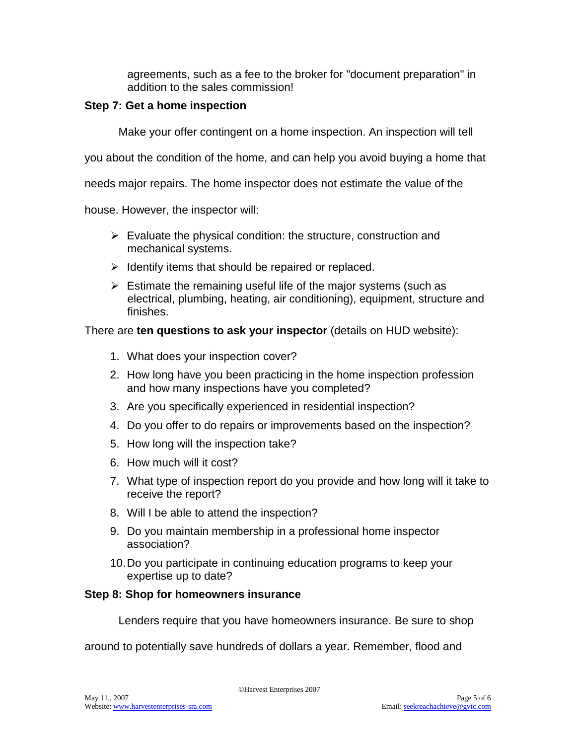agreements, such as a fee to the broker for "document preparation" in addition to the sales commission!

#### **Step 7: Get a home inspection**

Make your offer contingent on a home inspection. An inspection will tell

you about the condition of the home, and can help you avoid buying a home that

needs major repairs. The home inspector does not estimate the value of the

house. However, the inspector will:

- $\triangleright$  Evaluate the physical condition: the structure, construction and mechanical systems.
- $\triangleright$  Identify items that should be repaired or replaced.
- $\triangleright$  Estimate the remaining useful life of the major systems (such as electrical, plumbing, heating, air conditioning), equipment, structure and finishes.

#### There are **ten questions to ask your inspector** (details on HUD website):

- 1. What does your inspection cover?
- 2. How long have you been practicing in the home inspection profession and how many inspections have you completed?
- 3. Are you specifically experienced in residential inspection?
- 4. Do you offer to do repairs or improvements based on the inspection?
- 5. How long will the inspection take?
- 6. How much will it cost?
- 7. What type of inspection report do you provide and how long will it take to receive the report?
- 8. Will I be able to attend the inspection?
- 9. Do you maintain membership in a professional home inspector association?
- 10.Do you participate in continuing education programs to keep your expertise up to date?

#### **Step 8: Shop for homeowners insurance**

Lenders require that you have homeowners insurance. Be sure to shop

around to potentially save hundreds of dollars a year. Remember, flood and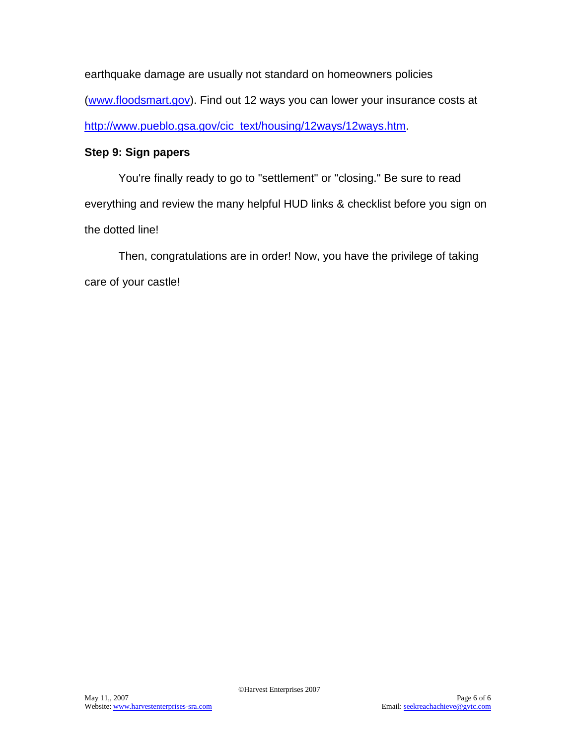earthquake damage are usually not standard on homeowners policies [\(www.floodsmart.gov\)](http://www.floodsmart.gov/). Find out 12 ways you can lower your insurance costs at [http://www.pueblo.gsa.gov/cic\\_text/housing/12ways/12ways.htm.](http://www.pueblo.gsa.gov/cic_text/housing/12ways/12ways.htm)

### **Step 9: Sign papers**

You're finally ready to go to "settlement" or "closing." Be sure to read everything and review the many helpful HUD links & checklist before you sign on the dotted line!

Then, congratulations are in order! Now, you have the privilege of taking care of your castle!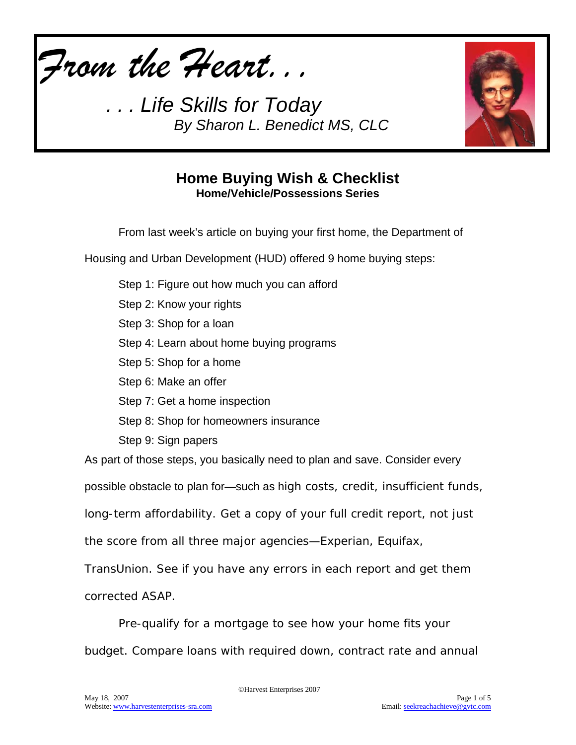

*. . . Life Skills for Today By Sharon L. Benedict MS, CLC*



## **Home Buying Wish & Checklist Home/Vehicle/Possessions Series**

From last week's article on buying your first home, the Department of

Housing and Urban Development (HUD) offered 9 home buying steps:

Step 1: Figure out how much you can afford Step 2: Know your rights Step 3: Shop for a loan Step 4: Learn about home buying programs Step 5: Shop for a home Step 6: Make an offer Step 7: Get a home inspection Step 8: Shop for homeowners insurance Step 9: Sign papers As part of those steps, you basically need to plan and save. Consider every possible obstacle to plan for—such as high costs, credit, insufficient funds, long-term affordability. Get a copy of your full credit report, not just the score from all three major agencies—Experian, Equifax, TransUnion. See if you have any errors in each report and get them corrected ASAP.

Pre-qualify for a mortgage to see how your home fits your budget. Compare loans with required down, contract rate and annual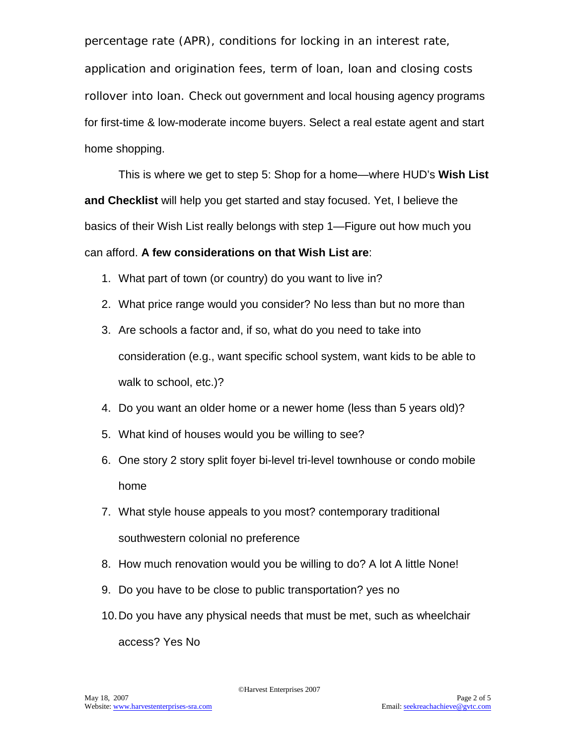percentage rate (APR), conditions for locking in an interest rate,

application and origination fees, term of loan, loan and closing costs rollover into loan. Check out government and local housing agency programs for first-time & low-moderate income buyers. Select a real estate agent and start home shopping.

This is where we get to step 5: Shop for a home—where HUD's **Wish List and Checklist** will help you get started and stay focused. Yet, I believe the basics of their Wish List really belongs with step 1—Figure out how much you can afford. **A few considerations on that Wish List are**:

- 1. What part of town (or country) do you want to live in?
- 2. What price range would you consider? No less than but no more than
- 3. Are schools a factor and, if so, what do you need to take into consideration (e.g., want specific school system, want kids to be able to walk to school, etc.)?
- 4. Do you want an older home or a newer home (less than 5 years old)?
- 5. What kind of houses would you be willing to see?
- 6. One story 2 story split foyer bi-level tri-level townhouse or condo mobile home
- 7. What style house appeals to you most? contemporary traditional southwestern colonial no preference
- 8. How much renovation would you be willing to do? A lot A little None!
- 9. Do you have to be close to public transportation? yes no
- 10.Do you have any physical needs that must be met, such as wheelchair access? Yes No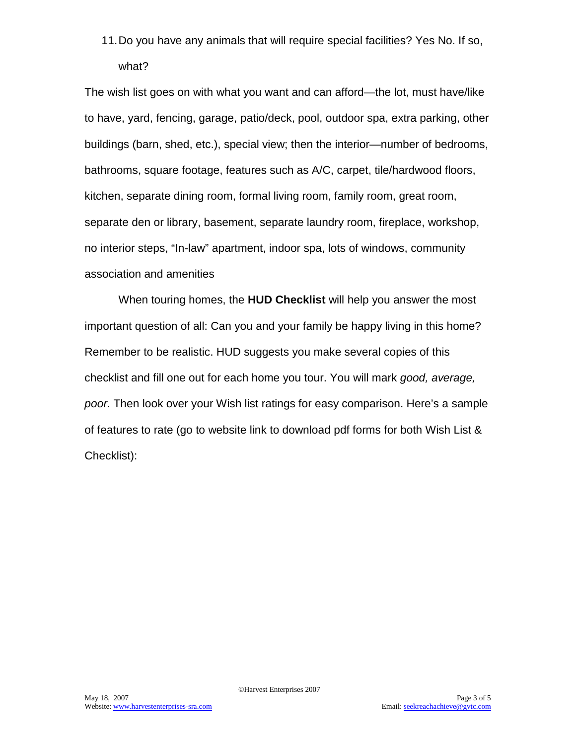11.Do you have any animals that will require special facilities? Yes No. If so, what?

The wish list goes on with what you want and can afford—the lot, must have/like to have, yard, fencing, garage, patio/deck, pool, outdoor spa, extra parking, other buildings (barn, shed, etc.), special view; then the interior—number of bedrooms, bathrooms, square footage, features such as A/C, carpet, tile/hardwood floors, kitchen, separate dining room, formal living room, family room, great room, separate den or library, basement, separate laundry room, fireplace, workshop, no interior steps, "In-law" apartment, indoor spa, lots of windows, community association and amenities

When touring homes, the **HUD Checklist** will help you answer the most important question of all: Can you and your family be happy living in this home? Remember to be realistic. HUD suggests you make several copies of this checklist and fill one out for each home you tour. You will mark *good, average, poor.* Then look over your Wish list ratings for easy comparison. Here's a sample of features to rate (go to website link to download pdf forms for both Wish List & Checklist):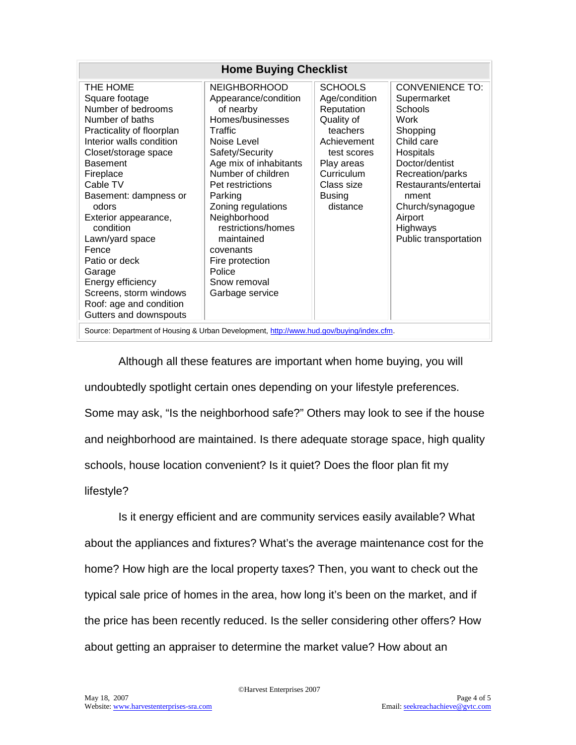| <b>Home Buying Checklist</b>                                                                                                                                                                                                                                                                                                                                                                                                       |                                                                                                                                                                                                                                                                                                                                                                 |                                                                                                                                                                              |                                                                                                                                                                                                                                                   |
|------------------------------------------------------------------------------------------------------------------------------------------------------------------------------------------------------------------------------------------------------------------------------------------------------------------------------------------------------------------------------------------------------------------------------------|-----------------------------------------------------------------------------------------------------------------------------------------------------------------------------------------------------------------------------------------------------------------------------------------------------------------------------------------------------------------|------------------------------------------------------------------------------------------------------------------------------------------------------------------------------|---------------------------------------------------------------------------------------------------------------------------------------------------------------------------------------------------------------------------------------------------|
| THE HOME<br>Square footage<br>Number of bedrooms<br>Number of baths<br>Practicality of floorplan<br>Interior walls condition<br>Closet/storage space<br><b>Basement</b><br>Fireplace<br>Cable TV<br>Basement: dampness or<br>odors<br>Exterior appearance,<br>condition<br>Lawn/yard space<br>Fence<br>Patio or deck<br>Garage<br>Energy efficiency<br>Screens, storm windows<br>Roof: age and condition<br>Gutters and downspouts | <b>NEIGHBORHOOD</b><br>Appearance/condition<br>of nearby<br>Homes/businesses<br>Traffic<br>Noise Level<br>Safety/Security<br>Age mix of inhabitants<br>Number of children<br>Pet restrictions<br>Parking<br>Zoning regulations<br>Neighborhood<br>restrictions/homes<br>maintained<br>covenants<br>Fire protection<br>Police<br>Snow removal<br>Garbage service | <b>SCHOOLS</b><br>Age/condition<br>Reputation<br>Quality of<br>teachers<br>Achievement<br>test scores<br>Play areas<br>Curriculum<br>Class size<br><b>Busing</b><br>distance | <b>CONVENIENCE TO:</b><br>Supermarket<br><b>Schools</b><br>Work<br>Shopping<br>Child care<br>Hospitals<br>Doctor/dentist<br>Recreation/parks<br>Restaurants/entertai<br>nment<br>Church/synagogue<br>Airport<br>Highways<br>Public transportation |
| Source: Department of Housing & Urban Development, http://www.hud.gov/buying/index.cfm.                                                                                                                                                                                                                                                                                                                                            |                                                                                                                                                                                                                                                                                                                                                                 |                                                                                                                                                                              |                                                                                                                                                                                                                                                   |

Although all these features are important when home buying, you will undoubtedly spotlight certain ones depending on your lifestyle preferences. Some may ask, "Is the neighborhood safe?" Others may look to see if the house and neighborhood are maintained. Is there adequate storage space, high quality schools, house location convenient? Is it quiet? Does the floor plan fit my lifestyle?

Is it energy efficient and are community services easily available? What about the appliances and fixtures? What's the average maintenance cost for the home? How high are the local property taxes? Then, you want to check out the typical sale price of homes in the area, how long it's been on the market, and if the price has been recently reduced. Is the seller considering other offers? How about getting an appraiser to determine the market value? How about an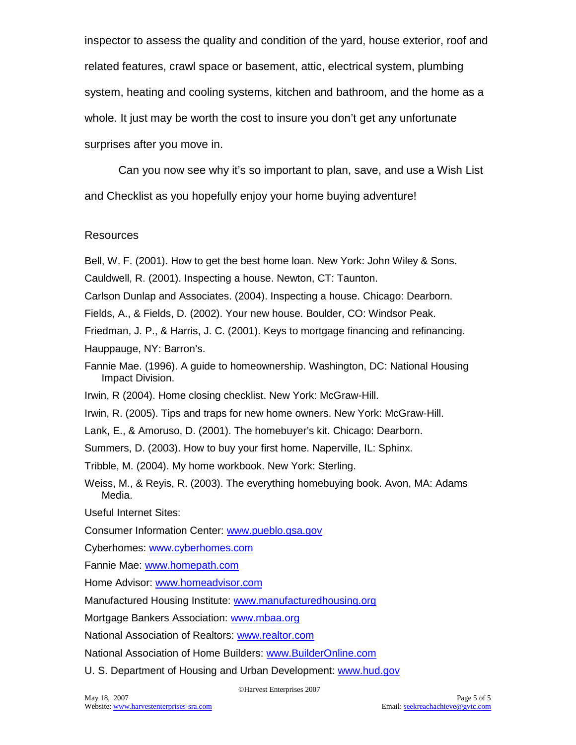inspector to assess the quality and condition of the yard, house exterior, roof and related features, crawl space or basement, attic, electrical system, plumbing system, heating and cooling systems, kitchen and bathroom, and the home as a whole. It just may be worth the cost to insure you don't get any unfortunate surprises after you move in.

Can you now see why it's so important to plan, save, and use a Wish List and Checklist as you hopefully enjoy your home buying adventure!

#### Resources

Bell, W. F. (2001). How to get the best home loan. New York: John Wiley & Sons.

Cauldwell, R. (2001). Inspecting a house. Newton, CT: Taunton.

Carlson Dunlap and Associates. (2004). Inspecting a house. Chicago: Dearborn.

Fields, A., & Fields, D. (2002). Your new house. Boulder, CO: Windsor Peak.

Friedman, J. P., & Harris, J. C. (2001). Keys to mortgage financing and refinancing. Hauppauge, NY: Barron's.

Fannie Mae. (1996). A guide to homeownership. Washington, DC: National Housing Impact Division.

Irwin, R (2004). Home closing checklist. New York: McGraw-Hill.

Irwin, R. (2005). Tips and traps for new home owners. New York: McGraw-Hill.

Lank, E., & Amoruso, D. (2001). The homebuyer's kit. Chicago: Dearborn.

Summers, D. (2003). How to buy your first home. Naperville, IL: Sphinx.

Tribble, M. (2004). My home workbook. New York: Sterling.

Weiss, M., & Reyis, R. (2003). The everything homebuying book. Avon, MA: Adams Media.

Useful Internet Sites:

Consumer Information Center: [www.pueblo.gsa.gov](http://www.pueblo.gsa.gov/) 

Cyberhomes: [www.cyberhomes.com](http://www.cyberhomes.com/)

Fannie Mae: [www.homepath.com](http://www.homepath.com/)

Home Advisor: [www.homeadvisor.com](http://www.homeadvisor.com/)

Manufactured Housing Institute: [www.manufacturedhousing.org](http://www.manufacturedhousing.org/)

Mortgage Bankers Association: [www.mbaa.org](http://www.mbaa.org/)

National Association of Realtors: [www.realtor.com](http://www.realtor.com/)

National Association of Home Builders: [www.BuilderOnline.com](http://www.builderonline.com/)

U. S. Department of Housing and Urban Development: [www.hud.gov](http://www.hud.gov/)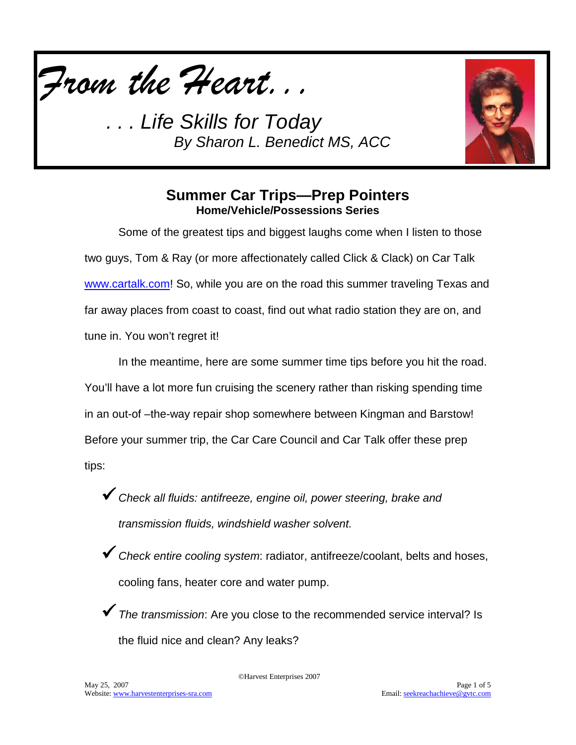

*. . . Life Skills for Today By Sharon L. Benedict MS, ACC*



## **Summer Car Trips—Prep Pointers Home/Vehicle/Possessions Series**

Some of the greatest tips and biggest laughs come when I listen to those two guys, Tom & Ray (or more affectionately called Click & Clack) on Car Talk [www.cartalk.com!](http://www.cartalk.com/) So, while you are on the road this summer traveling Texas and far away places from coast to coast, find out what radio station they are on, and tune in. You won't regret it!

In the meantime, here are some summer time tips before you hit the road. You'll have a lot more fun cruising the scenery rather than risking spending time in an out-of –the-way repair shop somewhere between Kingman and Barstow! Before your summer trip, the Car Care Council and Car Talk offer these prep tips:

- *Check all fluids: antifreeze, engine oil, power steering, brake and transmission fluids, windshield washer solvent.*
- *Check entire cooling system*: radiator, antifreeze/coolant, belts and hoses, cooling fans, heater core and water pump.
- *The transmission*: Are you close to the recommended service interval? Is the fluid nice and clean? Any leaks?

©Harvest Enterprises 2007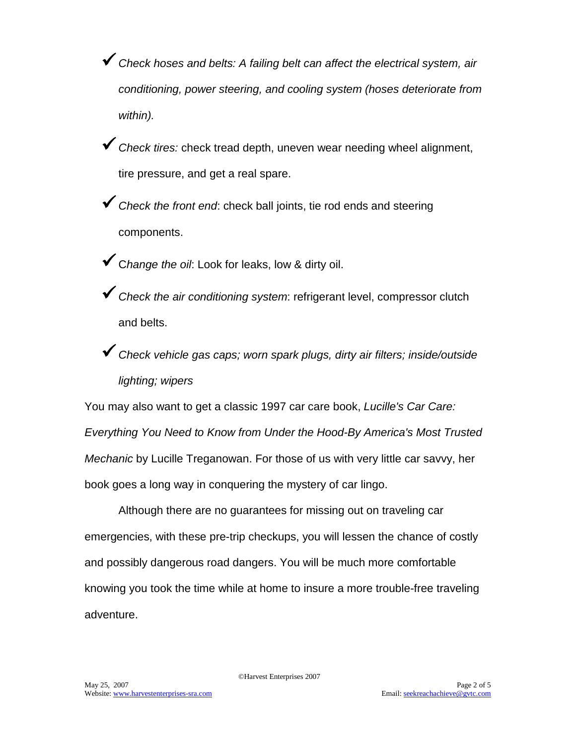- *Check hoses and belts: A failing belt can affect the electrical system, air conditioning, power steering, and cooling system (hoses deteriorate from within).*
- *Check tires:* check tread depth, uneven wear needing wheel alignment, tire pressure, and get a real spare.
- *Check the front end*: check ball joints, tie rod ends and steering components.
- <sup>C</sup>*hange the oil*: Look for leaks, low & dirty oil.
- *Check the air conditioning system*: refrigerant level, compressor clutch and belts.
- *Check vehicle gas caps; worn spark plugs, dirty air filters; inside/outside lighting; wipers*

You may also want to get a classic 1997 car care book, *Lucille's Car Care: Everything You Need to Know from Under the Hood-By America's Most Trusted Mechanic* by Lucille Treganowan. For those of us with very little car savvy, her book goes a long way in conquering the mystery of car lingo.

Although there are no guarantees for missing out on traveling car emergencies, with these pre-trip checkups, you will lessen the chance of costly and possibly dangerous road dangers. You will be much more comfortable knowing you took the time while at home to insure a more trouble-free traveling adventure.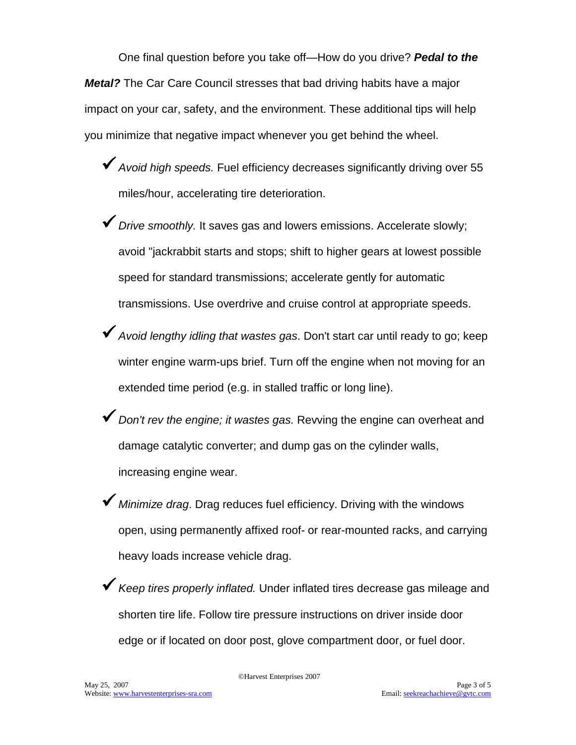One final question before you take off—How do you drive? *Pedal to the Metal?* The Car Care Council stresses that bad driving habits have a major impact on your car, safety, and the environment. These additional tips will help you minimize that negative impact whenever you get behind the wheel.

- *Avoid high speeds.* Fuel efficiency decreases significantly driving over 55 miles/hour, accelerating tire deterioration.
- *Drive smoothly.* It saves gas and lowers emissions. Accelerate slowly; avoid "jackrabbit starts and stops; shift to higher gears at lowest possible speed for standard transmissions; accelerate gently for automatic transmissions. Use overdrive and cruise control at appropriate speeds.
- *Avoid lengthy idling that wastes gas*. Don't start car until ready to go; keep winter engine warm-ups brief. Turn off the engine when not moving for an extended time period (e.g. in stalled traffic or long line).
- *Don't rev the engine; it wastes gas.* Revving the engine can overheat and damage catalytic converter; and dump gas on the cylinder walls, increasing engine wear.
- *Minimize drag*. Drag reduces fuel efficiency. Driving with the windows open, using permanently affixed roof- or rear-mounted racks, and carrying heavy loads increase vehicle drag.
- *Keep tires properly inflated.* Under inflated tires decrease gas mileage and shorten tire life. Follow tire pressure instructions on driver inside door edge or if located on door post, glove compartment door, or fuel door.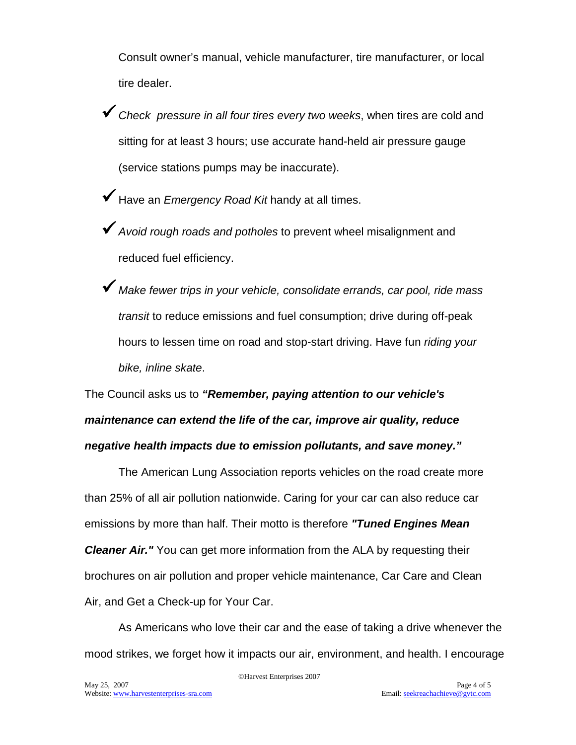Consult owner's manual, vehicle manufacturer, tire manufacturer, or local tire dealer.

- *Check pressure in all four tires every two weeks*, when tires are cold and sitting for at least 3 hours; use accurate hand-held air pressure gauge (service stations pumps may be inaccurate).
- Have an *Emergency Road Kit* handy at all times.
- *Avoid rough roads and potholes* to prevent wheel misalignment and reduced fuel efficiency.
- *Make fewer trips in your vehicle, consolidate errands, car pool, ride mass transit* to reduce emissions and fuel consumption; drive during off-peak hours to lessen time on road and stop-start driving. Have fun *riding your bike, inline skate*.

The Council asks us to *"Remember, paying attention to our vehicle's maintenance can extend the life of the car, improve air quality, reduce negative health impacts due to emission pollutants, and save money."*

The American Lung Association reports vehicles on the road create more than 25% of all air pollution nationwide. Caring for your car can also reduce car emissions by more than half. Their motto is therefore *"Tuned Engines Mean Cleaner Air.* You can get more information from the ALA by requesting their brochures on air pollution and proper vehicle maintenance, Car Care and Clean Air, and Get a Check-up for Your Car.

As Americans who love their car and the ease of taking a drive whenever the mood strikes, we forget how it impacts our air, environment, and health. I encourage